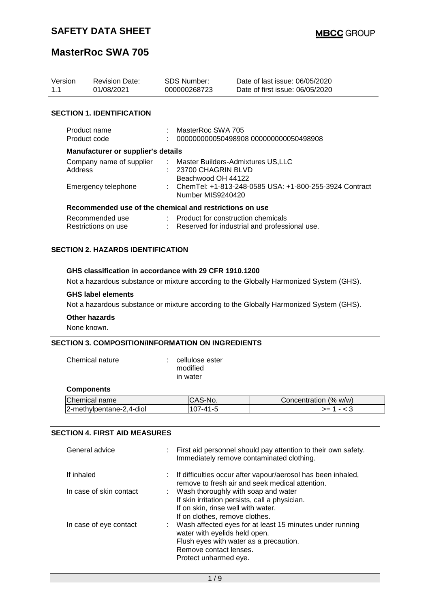## **MasterRoc SWA 705**

| Version<br>1.1                            | <b>Revision Date:</b><br>01/08/2021                     |    | SDS Number:<br>000000268723                                                     | Date of last issue: 06/05/2020<br>Date of first issue: 06/05/2020 |  |
|-------------------------------------------|---------------------------------------------------------|----|---------------------------------------------------------------------------------|-------------------------------------------------------------------|--|
|                                           | <b>SECTION 1. IDENTIFICATION</b>                        |    |                                                                                 |                                                                   |  |
| Product name<br>Product code              |                                                         |    | MasterRoc SWA 705<br>000000000050498908 000000000050498908                      |                                                                   |  |
| <b>Manufacturer or supplier's details</b> |                                                         |    |                                                                                 |                                                                   |  |
| Address                                   | Company name of supplier                                | ÷. | Master Builders-Admixtures US,LLC<br>: 23700 CHAGRIN BLVD<br>Beachwood OH 44122 |                                                                   |  |
| Emergency telephone                       |                                                         |    | : ChemTel: +1-813-248-0585 USA: +1-800-255-3924 Contract<br>Number MIS9240420   |                                                                   |  |
|                                           | Recommended use of the chemical and restrictions on use |    |                                                                                 |                                                                   |  |
|                                           | Recommended use<br>Restrictions on use                  |    | : Product for construction chemicals                                            | Reserved for industrial and professional use.                     |  |

#### **SECTION 2. HAZARDS IDENTIFICATION**

#### **GHS classification in accordance with 29 CFR 1910.1200**

Not a hazardous substance or mixture according to the Globally Harmonized System (GHS).

#### **GHS label elements**

Not a hazardous substance or mixture according to the Globally Harmonized System (GHS).

#### **Other hazards**

None known.

#### **SECTION 3. COMPOSITION/INFORMATION ON INGREDIENTS**

| Chemical nature   | cellulose ester<br>modified<br>in water |                       |
|-------------------|-----------------------------------------|-----------------------|
| <b>Components</b> |                                         |                       |
| Chemical name     | CAS-No.                                 | Concentration (% w/w) |

 $2$ -methylpentane-2,4-diol  $107-41-5$   $> = 1 - 3$ 

#### **SECTION 4. FIRST AID MEASURES**

| General advice          | : First aid personnel should pay attention to their own safety.<br>Immediately remove contaminated clothing.                                                                             |
|-------------------------|------------------------------------------------------------------------------------------------------------------------------------------------------------------------------------------|
| If inhaled              | : If difficulties occur after vapour/aerosol has been inhaled,<br>remove to fresh air and seek medical attention.                                                                        |
| In case of skin contact | : Wash thoroughly with soap and water<br>If skin irritation persists, call a physician.<br>If on skin, rinse well with water.<br>If on clothes, remove clothes.                          |
| In case of eye contact  | : Wash affected eyes for at least 15 minutes under running<br>water with eyelids held open.<br>Flush eyes with water as a precaution.<br>Remove contact lenses.<br>Protect unharmed eye. |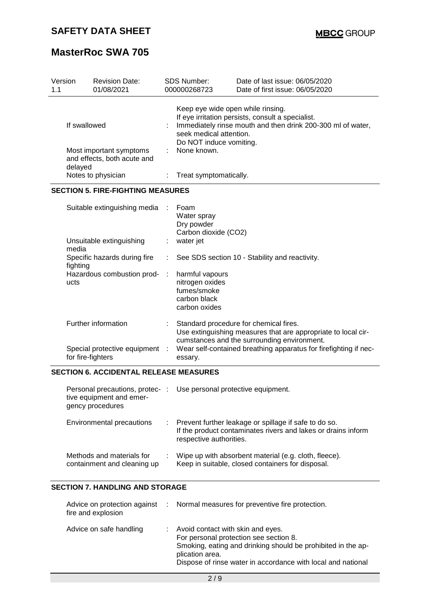| Version<br>1.1 |                   | <b>Revision Date:</b><br>01/08/2021                                            |                                                                                                                                                                  | SDS Number:<br>000000268723                                                             | Date of last issue: 06/05/2020<br>Date of first issue: 06/05/2020                                                |
|----------------|-------------------|--------------------------------------------------------------------------------|------------------------------------------------------------------------------------------------------------------------------------------------------------------|-----------------------------------------------------------------------------------------|------------------------------------------------------------------------------------------------------------------|
|                | If swallowed      |                                                                                |                                                                                                                                                                  | Keep eye wide open while rinsing.<br>seek medical attention.<br>Do NOT induce vomiting. | If eye irritation persists, consult a specialist.<br>Immediately rinse mouth and then drink 200-300 ml of water, |
|                | delayed           | Most important symptoms<br>and effects, both acute and                         |                                                                                                                                                                  | None known.                                                                             |                                                                                                                  |
|                |                   | Notes to physician                                                             |                                                                                                                                                                  | Treat symptomatically.                                                                  |                                                                                                                  |
|                |                   | <b>SECTION 5. FIRE-FIGHTING MEASURES</b>                                       |                                                                                                                                                                  |                                                                                         |                                                                                                                  |
|                |                   | Suitable extinguishing media                                                   |                                                                                                                                                                  | Foam<br>Water spray<br>Dry powder<br>Carbon dioxide (CO2)                               |                                                                                                                  |
|                | media             | Unsuitable extinguishing                                                       | water jet<br>t<br>÷<br>See SDS section 10 - Stability and reactivity.<br>harmful vapours<br>÷<br>nitrogen oxides<br>fumes/smoke<br>carbon black<br>carbon oxides |                                                                                         |                                                                                                                  |
|                | fighting          | Specific hazards during fire                                                   |                                                                                                                                                                  |                                                                                         |                                                                                                                  |
|                | ucts              | Hazardous combustion prod-                                                     |                                                                                                                                                                  |                                                                                         |                                                                                                                  |
|                |                   | Further information                                                            | Standard procedure for chemical fires.<br>Use extinguishing measures that are appropriate to local cir-<br>cumstances and the surrounding environment.           |                                                                                         |                                                                                                                  |
|                | for fire-fighters | Special protective equipment :                                                 |                                                                                                                                                                  | essary.                                                                                 | Wear self-contained breathing apparatus for firefighting if nec-                                                 |
|                |                   | <b>SECTION 6. ACCIDENTAL RELEASE MEASURES</b>                                  |                                                                                                                                                                  |                                                                                         |                                                                                                                  |
|                |                   | Personal precautions, protec-:<br>tive equipment and emer-<br>gency procedures |                                                                                                                                                                  | Use personal protective equipment.                                                      |                                                                                                                  |
|                |                   | <b>Environmental precautions</b>                                               |                                                                                                                                                                  |                                                                                         | Prevent further leakage or spillage if safe to do so.                                                            |

|                           |  | If the product contaminates rivers and lakes or drains inform<br>respective authorities. |
|---------------------------|--|------------------------------------------------------------------------------------------|
| Methods and materials for |  | Wipe up with absorbent material (e.g. cloth, fleece).                                    |

| <u>McMondo and materials</u> for | ville up with absolberit material (e.g. clutif, neede |
|----------------------------------|-------------------------------------------------------|
| containment and cleaning up      | Keep in suitable, closed containers for disposal.     |

### **SECTION 7. HANDLING AND STORAGE**

| Advice on protection against :<br>fire and explosion | Normal measures for preventive fire protection.                                                                                                                                                                                  |
|------------------------------------------------------|----------------------------------------------------------------------------------------------------------------------------------------------------------------------------------------------------------------------------------|
| Advice on safe handling                              | : Avoid contact with skin and eyes.<br>For personal protection see section 8.<br>Smoking, eating and drinking should be prohibited in the ap-<br>plication area.<br>Dispose of rinse water in accordance with local and national |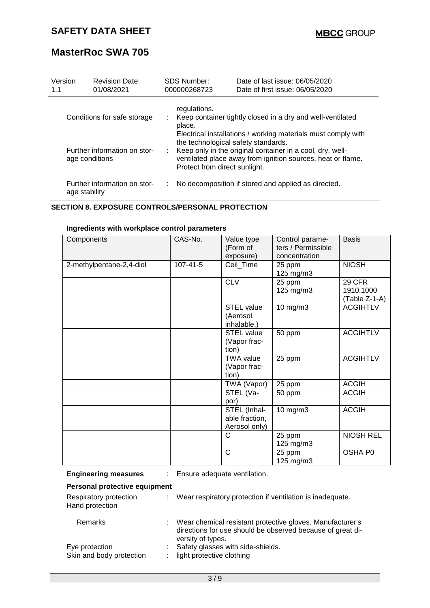| Version<br>1.1                                 | <b>Revision Date:</b><br>01/08/2021 | <b>SDS Number:</b><br>000000268723                                                                                                                                                               | Date of last issue: 06/05/2020<br>Date of first issue: 06/05/2020 |  |  |  |  |
|------------------------------------------------|-------------------------------------|--------------------------------------------------------------------------------------------------------------------------------------------------------------------------------------------------|-------------------------------------------------------------------|--|--|--|--|
| Conditions for safe storage                    |                                     | regulations.<br>Keep container tightly closed in a dry and well-ventilated<br>place.<br>Electrical installations / working materials must comply with                                            |                                                                   |  |  |  |  |
| Further information on stor-<br>age conditions |                                     | the technological safety standards.<br>Keep only in the original container in a cool, dry, well-<br>ventilated place away from ignition sources, heat or flame.<br>Protect from direct sunlight. |                                                                   |  |  |  |  |
| Further information on stor-<br>age stability  |                                     |                                                                                                                                                                                                  | No decomposition if stored and applied as directed.               |  |  |  |  |

#### **SECTION 8. EXPOSURE CONTROLS/PERSONAL PROTECTION**

#### **Ingredients with workplace control parameters**

| Components               | CAS-No.        | Value type<br>(Form of<br>exposure)             | Control parame-<br>ters / Permissible<br>concentration | <b>Basis</b>                         |
|--------------------------|----------------|-------------------------------------------------|--------------------------------------------------------|--------------------------------------|
| 2-methylpentane-2,4-diol | $107 - 41 - 5$ | Ceil_Time                                       | 25 ppm<br>125 mg/m3                                    | <b>NIOSH</b>                         |
|                          |                | <b>CLV</b>                                      | 25 ppm<br>125 mg/m3                                    | 29 CFR<br>1910.1000<br>(Table Z-1-A) |
|                          |                | <b>STEL value</b><br>(Aerosol,<br>inhalable.)   | 10 mg/m3                                               | <b>ACGIHTLV</b>                      |
|                          |                | <b>STEL value</b><br>(Vapor frac-<br>tion)      | 50 ppm                                                 | <b>ACGIHTLV</b>                      |
|                          |                | <b>TWA value</b><br>(Vapor frac-<br>tion)       | 25 ppm                                                 | <b>ACGIHTLV</b>                      |
|                          |                | TWA (Vapor)                                     | 25 ppm                                                 | <b>ACGIH</b>                         |
|                          |                | STEL (Va-<br>por)                               | 50 ppm                                                 | <b>ACGIH</b>                         |
|                          |                | STEL (Inhal-<br>able fraction,<br>Aerosol only) | 10 mg/m3                                               | <b>ACGIH</b>                         |
|                          |                | C                                               | 25 ppm<br>125 mg/m3                                    | <b>NIOSH REL</b>                     |
|                          |                | $\mathsf{C}$                                    | 25 ppm<br>125 mg/m3                                    | OSHA P0                              |

**Engineering measures** : Ensure adequate ventilation.

| Personal protective equipment              |         |                                                                                                                                              |  |  |  |  |
|--------------------------------------------|---------|----------------------------------------------------------------------------------------------------------------------------------------------|--|--|--|--|
| Respiratory protection<br>Hand protection  | t.      | Wear respiratory protection if ventilation is inadequate.                                                                                    |  |  |  |  |
| Remarks                                    | t.      | Wear chemical resistant protective gloves. Manufacturer's<br>directions for use should be observed because of great di-<br>versity of types. |  |  |  |  |
| Eye protection<br>Skin and body protection | t.<br>÷ | Safety glasses with side-shields.<br>light protective clothing                                                                               |  |  |  |  |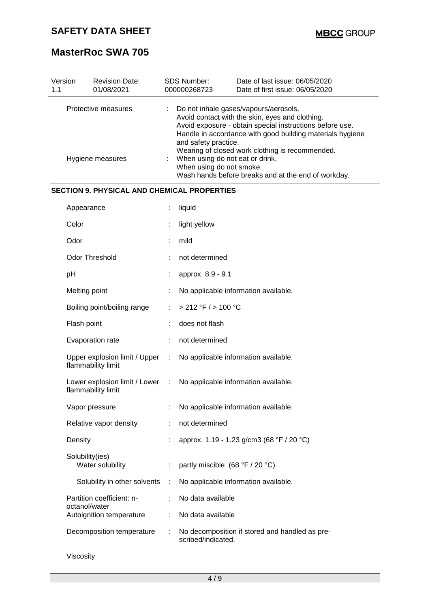# **MasterRoc SWA 705**

| Version<br>1.1 | <b>Revision Date:</b><br>01/08/2021                   |   | SDS Number:<br>000000268723                                                                                                                                                                                                                                                                                                                                                                                        | Date of last issue: 06/05/2020<br>Date of first issue: 06/05/2020 |  |
|----------------|-------------------------------------------------------|---|--------------------------------------------------------------------------------------------------------------------------------------------------------------------------------------------------------------------------------------------------------------------------------------------------------------------------------------------------------------------------------------------------------------------|-------------------------------------------------------------------|--|
|                | Protective measures<br>Hygiene measures               |   | Do not inhale gases/vapours/aerosols.<br>Avoid contact with the skin, eyes and clothing.<br>Avoid exposure - obtain special instructions before use.<br>Handle in accordance with good building materials hygiene<br>and safety practice.<br>Wearing of closed work clothing is recommended.<br>When using do not eat or drink.<br>When using do not smoke.<br>Wash hands before breaks and at the end of workday. |                                                                   |  |
|                | <b>SECTION 9. PHYSICAL AND CHEMICAL PROPERTIES</b>    |   |                                                                                                                                                                                                                                                                                                                                                                                                                    |                                                                   |  |
|                | Appearance                                            |   | liquid                                                                                                                                                                                                                                                                                                                                                                                                             |                                                                   |  |
|                | Color                                                 |   | light yellow                                                                                                                                                                                                                                                                                                                                                                                                       |                                                                   |  |
|                | Odor                                                  |   | mild                                                                                                                                                                                                                                                                                                                                                                                                               |                                                                   |  |
|                | Odor Threshold                                        |   | not determined                                                                                                                                                                                                                                                                                                                                                                                                     |                                                                   |  |
|                | pH                                                    |   | approx. 8.9 - 9.1                                                                                                                                                                                                                                                                                                                                                                                                  |                                                                   |  |
|                | Melting point                                         |   |                                                                                                                                                                                                                                                                                                                                                                                                                    | No applicable information available.                              |  |
|                | Boiling point/boiling range                           |   | > 212 °F / > 100 °C                                                                                                                                                                                                                                                                                                                                                                                                |                                                                   |  |
|                | Flash point                                           |   | does not flash                                                                                                                                                                                                                                                                                                                                                                                                     |                                                                   |  |
|                | Evaporation rate                                      |   | not determined                                                                                                                                                                                                                                                                                                                                                                                                     |                                                                   |  |
|                | Upper explosion limit / Upper<br>flammability limit   | ÷ |                                                                                                                                                                                                                                                                                                                                                                                                                    | No applicable information available.                              |  |
|                | Lower explosion limit / Lower :<br>flammability limit |   |                                                                                                                                                                                                                                                                                                                                                                                                                    | No applicable information available.                              |  |
|                | Vapor pressure                                        |   |                                                                                                                                                                                                                                                                                                                                                                                                                    | No applicable information available.                              |  |
|                | Relative vapor density                                |   | not determined                                                                                                                                                                                                                                                                                                                                                                                                     |                                                                   |  |
|                | Density                                               |   |                                                                                                                                                                                                                                                                                                                                                                                                                    | approx. 1.19 - 1.23 g/cm3 (68 °F / 20 °C)                         |  |
|                | Solubility(ies)<br>Water solubility                   |   | partly miscible (68 °F / 20 °C)                                                                                                                                                                                                                                                                                                                                                                                    |                                                                   |  |
|                | Solubility in other solvents                          | ÷ |                                                                                                                                                                                                                                                                                                                                                                                                                    | No applicable information available.                              |  |
|                | Partition coefficient: n-<br>octanol/water            |   | No data available                                                                                                                                                                                                                                                                                                                                                                                                  |                                                                   |  |
|                | Autoignition temperature                              | ÷ | No data available                                                                                                                                                                                                                                                                                                                                                                                                  |                                                                   |  |
|                | Decomposition temperature                             | ÷ | scribed/indicated.                                                                                                                                                                                                                                                                                                                                                                                                 | No decomposition if stored and handled as pre-                    |  |

Viscosity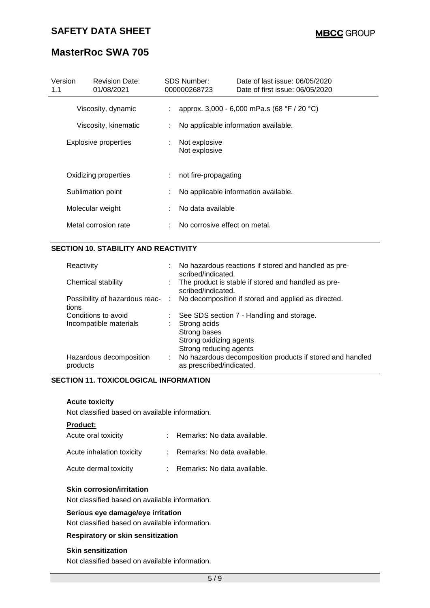# **MasterRoc SWA 705**

| Version<br>1.1              | <b>Revision Date:</b><br>01/08/2021 |                                           | <b>SDS Number:</b><br>000000268723   | Date of last issue: 06/05/2020<br>Date of first issue: 06/05/2020 |  |
|-----------------------------|-------------------------------------|-------------------------------------------|--------------------------------------|-------------------------------------------------------------------|--|
| Viscosity, dynamic          |                                     | t in                                      |                                      | approx. 3,000 - 6,000 mPa.s (68 °F / 20 °C)                       |  |
| Viscosity, kinematic        |                                     | No applicable information available.<br>÷ |                                      |                                                                   |  |
| <b>Explosive properties</b> |                                     |                                           | Not explosive<br>Not explosive       |                                                                   |  |
| Oxidizing properties        |                                     |                                           | not fire-propagating                 |                                                                   |  |
| Sublimation point           |                                     |                                           | No applicable information available. |                                                                   |  |
|                             | Molecular weight                    |                                           | No data available                    |                                                                   |  |
|                             | Metal corrosion rate                |                                           | No corrosive effect on metal.        |                                                                   |  |

#### **SECTION 10. STABILITY AND REACTIVITY**

| Reactivity                                    |    | : No hazardous reactions if stored and handled as pre-<br>scribed/indicated.                                                   |
|-----------------------------------------------|----|--------------------------------------------------------------------------------------------------------------------------------|
| Chemical stability                            | ÷. | The product is stable if stored and handled as pre-<br>scribed/indicated.                                                      |
| tions                                         |    | Possibility of hazardous reac- : No decomposition if stored and applied as directed.                                           |
| Conditions to avoid<br>Incompatible materials | ÷. | See SDS section 7 - Handling and storage.<br>Strong acids<br>Strong bases<br>Strong oxidizing agents<br>Strong reducing agents |
| Hazardous decomposition<br>products           | ÷. | No hazardous decomposition products if stored and handled<br>as prescribed/indicated.                                          |

#### **SECTION 11. TOXICOLOGICAL INFORMATION**

#### **Acute toxicity**

Not classified based on available information.

#### **Product:**

| Acute oral toxicity       | : Remarks: No data available. |
|---------------------------|-------------------------------|
| Acute inhalation toxicity | : Remarks: No data available. |
| Acute dermal toxicity     | Remarks: No data available.   |

#### **Skin corrosion/irritation**

Not classified based on available information.

#### **Serious eye damage/eye irritation**

Not classified based on available information.

#### **Respiratory or skin sensitization**

#### **Skin sensitization**

Not classified based on available information.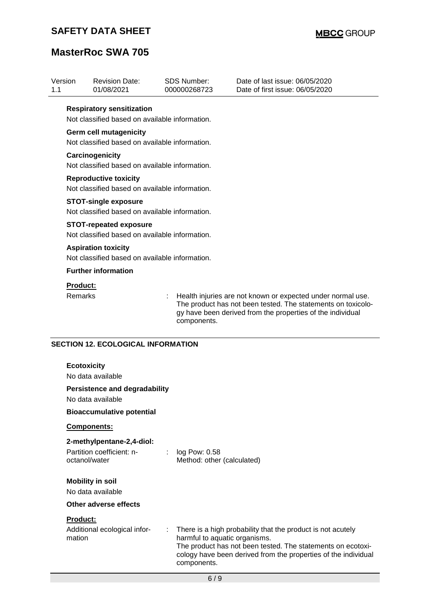# **MasterRoc SWA 705**

|                                   | <b>Revision Date:</b><br>01/08/2021                                             | <b>SDS Number:</b><br>000000268723          | Date of last issue: 06/05/2020<br>Date of first issue: 06/05/2020                                                                                                                                                             |
|-----------------------------------|---------------------------------------------------------------------------------|---------------------------------------------|-------------------------------------------------------------------------------------------------------------------------------------------------------------------------------------------------------------------------------|
|                                   | <b>Respiratory sensitization</b>                                                |                                             |                                                                                                                                                                                                                               |
|                                   | Not classified based on available information.                                  |                                             |                                                                                                                                                                                                                               |
|                                   | <b>Germ cell mutagenicity</b>                                                   |                                             |                                                                                                                                                                                                                               |
|                                   | Not classified based on available information.                                  |                                             |                                                                                                                                                                                                                               |
|                                   | Carcinogenicity                                                                 |                                             |                                                                                                                                                                                                                               |
|                                   | Not classified based on available information.                                  |                                             |                                                                                                                                                                                                                               |
|                                   | <b>Reproductive toxicity</b>                                                    |                                             |                                                                                                                                                                                                                               |
|                                   | Not classified based on available information.                                  |                                             |                                                                                                                                                                                                                               |
|                                   | <b>STOT-single exposure</b><br>Not classified based on available information.   |                                             |                                                                                                                                                                                                                               |
|                                   |                                                                                 |                                             |                                                                                                                                                                                                                               |
|                                   | <b>STOT-repeated exposure</b><br>Not classified based on available information. |                                             |                                                                                                                                                                                                                               |
|                                   | <b>Aspiration toxicity</b>                                                      |                                             |                                                                                                                                                                                                                               |
|                                   | Not classified based on available information.                                  |                                             |                                                                                                                                                                                                                               |
|                                   | <b>Further information</b>                                                      |                                             |                                                                                                                                                                                                                               |
|                                   |                                                                                 |                                             |                                                                                                                                                                                                                               |
| <b>Product:</b><br><b>Remarks</b> |                                                                                 |                                             | Health injuries are not known or expected under normal use.                                                                                                                                                                   |
|                                   |                                                                                 | components.                                 | The product has not been tested. The statements on toxicolo-<br>gy have been derived from the properties of the individual                                                                                                    |
|                                   | <b>SECTION 12. ECOLOGICAL INFORMATION</b><br><b>Ecotoxicity</b>                 |                                             |                                                                                                                                                                                                                               |
|                                   | No data available                                                               |                                             |                                                                                                                                                                                                                               |
|                                   | <b>Persistence and degradability</b><br>No data available                       |                                             |                                                                                                                                                                                                                               |
|                                   |                                                                                 |                                             |                                                                                                                                                                                                                               |
|                                   | <b>Bioaccumulative potential</b>                                                |                                             |                                                                                                                                                                                                                               |
|                                   |                                                                                 |                                             |                                                                                                                                                                                                                               |
|                                   | Components:                                                                     |                                             |                                                                                                                                                                                                                               |
|                                   | 2-methylpentane-2,4-diol:                                                       |                                             |                                                                                                                                                                                                                               |
|                                   | Partition coefficient: n-<br>octanol/water                                      | log Pow: 0.58<br>Method: other (calculated) |                                                                                                                                                                                                                               |
|                                   | <b>Mobility in soil</b>                                                         |                                             |                                                                                                                                                                                                                               |
|                                   | No data available                                                               |                                             |                                                                                                                                                                                                                               |
|                                   | Other adverse effects                                                           |                                             |                                                                                                                                                                                                                               |
| <b>Product:</b>                   |                                                                                 |                                             |                                                                                                                                                                                                                               |
| mation                            | Additional ecological infor-                                                    | components.                                 | There is a high probability that the product is not acutely<br>harmful to aquatic organisms.<br>The product has not been tested. The statements on ecotoxi-<br>cology have been derived from the properties of the individual |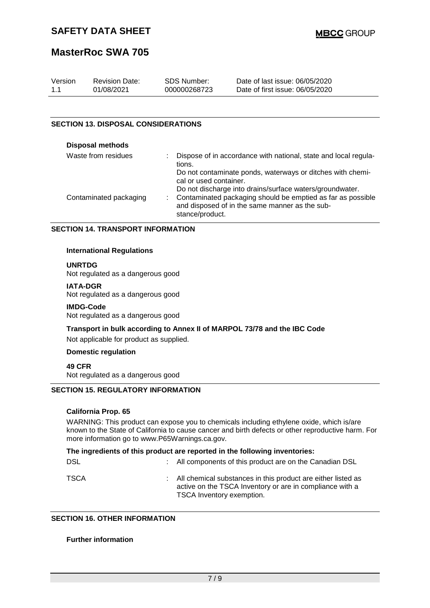## **MasterRoc SWA 705**

| Version | <b>Revision Date:</b> | SDS Number:  | Date of last issue: 06/05/2020  |
|---------|-----------------------|--------------|---------------------------------|
| 1.1     | 01/08/2021            | 000000268723 | Date of first issue: 06/05/2020 |

#### **SECTION 13. DISPOSAL CONSIDERATIONS**

| <b>Disposal methods</b> |                                                                                                                                                                                                                 |
|-------------------------|-----------------------------------------------------------------------------------------------------------------------------------------------------------------------------------------------------------------|
| Waste from residues     | Dispose of in accordance with national, state and local regula-<br>tions.                                                                                                                                       |
| Contaminated packaging  | Do not contaminate ponds, waterways or ditches with chemi-<br>cal or used container.<br>Do not discharge into drains/surface waters/groundwater.<br>Contaminated packaging should be emptied as far as possible |
|                         | and disposed of in the same manner as the sub-<br>stance/product.                                                                                                                                               |

#### **SECTION 14. TRANSPORT INFORMATION**

#### **International Regulations**

#### **UNRTDG**

Not regulated as a dangerous good

#### **IATA-DGR**

Not regulated as a dangerous good

#### **IMDG-Code**

Not regulated as a dangerous good

**Transport in bulk according to Annex II of MARPOL 73/78 and the IBC Code**

Not applicable for product as supplied.

#### **Domestic regulation**

**49 CFR**

Not regulated as a dangerous good

#### **SECTION 15. REGULATORY INFORMATION**

#### **California Prop. 65**

WARNING: This product can expose you to chemicals including ethylene oxide, which is/are known to the State of California to cause cancer and birth defects or other reproductive harm. For more information go to www.P65Warnings.ca.gov.

|            | The ingredients of this product are reported in the following inventories:                                                                              |
|------------|---------------------------------------------------------------------------------------------------------------------------------------------------------|
| <b>DSL</b> | : All components of this product are on the Canadian DSL                                                                                                |
| TSCA       | : All chemical substances in this product are either listed as<br>active on the TSCA Inventory or are in compliance with a<br>TSCA Inventory exemption. |

#### **SECTION 16. OTHER INFORMATION**

#### **Further information**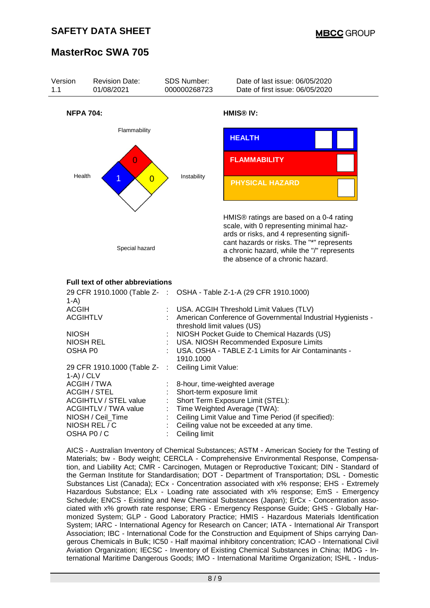

AICS - Australian Inventory of Chemical Substances; ASTM - American Society for the Testing of Materials; bw - Body weight; CERCLA - Comprehensive Environmental Response, Compensation, and Liability Act; CMR - Carcinogen, Mutagen or Reproductive Toxicant; DIN - Standard of the German Institute for Standardisation; DOT - Department of Transportation; DSL - Domestic Substances List (Canada); ECx - Concentration associated with x% response; EHS - Extremely Hazardous Substance; ELx - Loading rate associated with x% response; EmS - Emergency Schedule; ENCS - Existing and New Chemical Substances (Japan); ErCx - Concentration associated with x% growth rate response; ERG - Emergency Response Guide; GHS - Globally Harmonized System; GLP - Good Laboratory Practice; HMIS - Hazardous Materials Identification System; IARC - International Agency for Research on Cancer; IATA - International Air Transport Association; IBC - International Code for the Construction and Equipment of Ships carrying Dangerous Chemicals in Bulk; IC50 - Half maximal inhibitory concentration; ICAO - International Civil Aviation Organization; IECSC - Inventory of Existing Chemical Substances in China; IMDG - International Maritime Dangerous Goods; IMO - International Maritime Organization; ISHL - Indus-